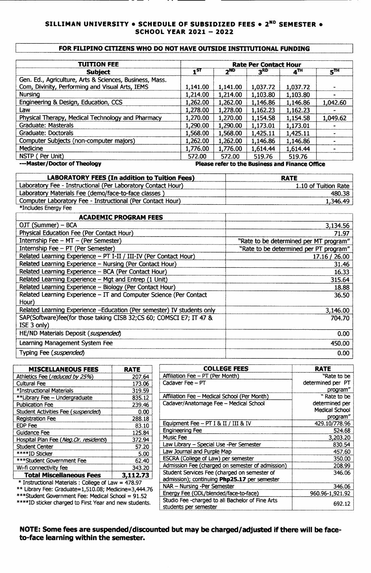## **SILLIMAN UNIVERSITY. SCHEDULE OF SUBSIDIZED FEES. 2ND SEMESTER. SCHOOL YEAR 2021 - 2022**

## **FOR FILIPINO CITIZENS WHO DO NOT HAVE OUTSIDE INSTIlUTIONAL FUNDING**

| <b>TUITION FEE</b>                                      |          |          | <b>Rate Per Contact Hour</b> |                                                 |                 |
|---------------------------------------------------------|----------|----------|------------------------------|-------------------------------------------------|-----------------|
| <b>Subject</b>                                          | $1^{ST}$ | $2^{ND}$ | 3 <sup>RD</sup>              | $4^{\text{TH}}$                                 | 5 <sup>TH</sup> |
| Gen. Ed., Agriculture, Arts & Sciences, Business, Mass. |          |          |                              |                                                 |                 |
| Com, Divinity, Performing and Visual Arts, IEMS         | 1,141.00 | 1,141.00 | 1,037.72                     | 1,037.72                                        |                 |
| <b>Nursing</b>                                          | 1,214.00 | 1,214.00 | 1,103.80                     | 1,103.80                                        |                 |
| Engineering & Design, Education, CCS                    | 1,262.00 | 1,262.00 | 1,146.86                     | 1,146.86                                        | 1,042.60        |
| Law                                                     | 1,278.00 | 1,278.00 | 1,162.23                     | 1,162.23                                        |                 |
| Physical Therapy, Medical Technology and Pharmacy       | 1,270.00 | 1,270.00 | 1,154.58                     | 1,154.58                                        | 1,049.62        |
| Graduate: Masterals                                     | 1,290.00 | 1,290.00 | 1,173.01                     | 1,173.01                                        |                 |
| Graduate: Doctorals                                     | 1,568.00 | 1,568.00 | 1,425.11                     | 1,425.11                                        |                 |
| Computer Subjects (non-computer majors)                 | 1,262.00 | 1,262.00 | 1,146.86                     | 1,146.86                                        |                 |
| Medicine                                                | 1,776.00 | 1,776.00 | 1,614.44                     | 1,614.44                                        |                 |
| NSTP (Per Unit)                                         | 572.00   | 572.00   | 519.76                       | 519.76                                          |                 |
| ---Master/Doctor of Theology                            |          |          |                              | Please refer to the Business and Finance Office |                 |

| <b>LABORATORY FEES (In addition to Tuition Fees)</b>         | <b>RATE</b>          |
|--------------------------------------------------------------|----------------------|
| Laboratory Fee - Instructional (Per Laboratory Contact Hour) | 1.10 of Tuition Rate |
| Laboratory Materials Fee (demo/face-to-face classes)         | 480.38               |
| Computer Laboratory Fee - Instructional (Per Contact Hour)   | 1,346.49             |
| *Includes Energy Fee                                         |                      |

| *Includes Energy Fee                                                   |                                        |
|------------------------------------------------------------------------|----------------------------------------|
| <b>ACADEMIC PROGRAM FEES</b>                                           |                                        |
| OJT (Summer) - BCA                                                     | 3,134.56                               |
| Physical Education Fee (Per Contact Hour)                              | 71.97                                  |
| Internship Fee - MT - (Per Semester)                                   | "Rate to be determined per MT program" |
| Internship Fee - PT (Per Semester)                                     | "Rate to be determined per PT program" |
| Related Learning Experience - PT I-II / III-IV (Per Contact Hour)      | 17.16 / 26.00                          |
| Related Learning Experience - Nursing (Per Contact Hour)               | 31.46                                  |
| Related Learning Experience - BCA (Per Contact Hour)                   | 16.33                                  |
| Related Learning Experience - Mgt and Entrep (1 Unit)                  | 315.64                                 |
| Related Learning Experience - Biology (Per Contact Hour)               | 18.88                                  |
| Related Learning Experience $-$ IT and Computer Science (Per Contact   | 36.50                                  |
| Hour)                                                                  |                                        |
| Related Learning Experience -Education (Per semester) IV students only | 3,146.00                               |
| SAP(Software)fee(for those taking CISB 32;CS 60; COMSCI E7; IT 47 &    | 704.70                                 |
| ISE 3 only)                                                            |                                        |
| HE/ND Materials Deposit (suspended)                                    | 0.00 <sub>1</sub>                      |
| Learning Management System Fee                                         | 450.00                                 |
| Typing Fee (suspended)                                                 | 0.00 <sub>1</sub>                      |

| <b>MISCELLANEOUS FEES</b>                           | <b>RATE</b> |
|-----------------------------------------------------|-------------|
| Athletics Fee (reduced by 25%)                      | 207.64      |
| <b>Cultural Fee</b>                                 | 173.06      |
| *Instructional Materials                            | 319.59      |
| **Library Fee - Undergraduate                       | 835.12      |
| <b>Publication Fee</b>                              | 239.46      |
| Student Activities Fee (suspended)                  | 0.00        |
| <b>Registration Fee</b>                             | 288.18      |
| <b>EDP</b> Fee                                      | 83.10       |
| Guidance Fee                                        | 125.84      |
| Hospital Plan Fee (Neg. Or. residents)              | 372.94      |
| <b>Student Center</b>                               | 57.20       |
| ****ID Sticker                                      | 5.00        |
| *** Student Government Fee                          | 62.40       |
| Wi-fi connectivity fee                              | 343.20      |
| <b>Total Miscellaneous Fees</b>                     | 3,112.73    |
| * Instructional Materials • College of Law – 478 07 |             |

| Affiliation Fee - PT (Per Month)                                          | "Rate to be           |
|---------------------------------------------------------------------------|-----------------------|
| Cadaver Fee - PT                                                          | determined per PT     |
|                                                                           | program"              |
| Affiliation Fee – Medical School (Per Month)                              | " Rate to be          |
| Cadaver/Anatomage Fee - Medical School                                    | determined per        |
|                                                                           | <b>Medical School</b> |
|                                                                           | program"              |
| Equipment Fee - PT I & II / III & IV                                      | 429.10/778.96         |
| <b>Engineering Fee</b>                                                    | 524.68                |
| Music Fee                                                                 | 3,203.20              |
| Law Library – Special Use -Per Semester                                   | 830.54                |
| Law Journal and Purple Map                                                | 457.60                |
| ESCRA (College of Law) per semester                                       | 350.00                |
| Admission Fee (charged on semester of admission)                          | 208.99                |
| Student Services Fee (charged on semester of                              | 346.06                |
| admission); continuing Php25.17 per semester                              |                       |
| NAR - Nursing -Per Semester                                               | 346.06                |
| Energy Fee (ODL/blended/face-to-face)                                     | 960.96-1,921.92       |
| Studio Fee -charged to all Bachelor of Fine Arts<br>students per semester | 692.12                |
|                                                                           |                       |

**COLLEGE FEES RATE**<br>PT (Per Month) **RATE RATE RATE RATE RATE RATE RATE RATE R** 

\* Instructional Materials: Collegeof Law = 478.97 \*\* Library Fee: Graduate=l,510.08; Medicine=3,444.76

\*\*\*Student Government Fee: Medical School = 91.52 \*\*\*\*ID sticker charged to First Year and new students.

**NOTE: Some fees are suspended/discounted but may be charged/adjusted if there will be faceto-face learning within the semester.**